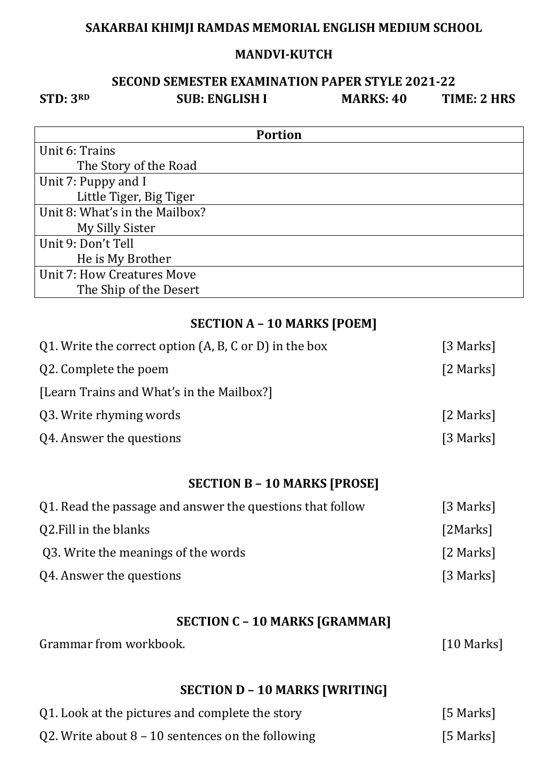#### **MANDVI-KUTCH**

## **SECOND SEMESTER EXAMINATION PAPER STYLE 2021-22 STD: 3RD SUB: ENGLISH I MARKS: 40 TIME: 2 HRS**

| <b>Portion</b>                 |
|--------------------------------|
| Unit 6: Trains                 |
| The Story of the Road          |
| Unit 7: Puppy and I            |
| Little Tiger, Big Tiger        |
| Unit 8: What's in the Mailbox? |
| My Silly Sister                |
| Unit 9: Don't Tell             |
| He is My Brother               |
| Unit 7: How Creatures Move     |
| The Ship of the Desert         |

## **SECTION A – 10 MARKS [POEM]**

| Q1. Write the correct option (A, B, C or D) in the box | [3 Marks] |
|--------------------------------------------------------|-----------|
| Q2. Complete the poem                                  | [2 Marks] |
| [Learn Trains and What's in the Mailbox?]              |           |
| Q3. Write rhyming words                                | [2 Marks] |
| Q4. Answer the questions                               | [3 Marks] |
|                                                        |           |

# **SECTION B – 10 MARKS [PROSE]**

| Q1. Read the passage and answer the questions that follow | [3 Marks] |
|-----------------------------------------------------------|-----------|
| Q2. Fill in the blanks                                    | [2Marks]  |
| Q3. Write the meanings of the words                       | [2 Marks] |
| Q4. Answer the questions                                  | [3 Marks] |

## **SECTION C – 10 MARKS [GRAMMAR]**

 $[10$  Marks]

| Grammar from workbook. |
|------------------------|
|------------------------|

# **SECTION D – 10 MARKS [WRITING]**

| Q1. Look at the pictures and complete the story     | [5 Marks] |
|-----------------------------------------------------|-----------|
| Q2. Write about $8 - 10$ sentences on the following | [5 Marks] |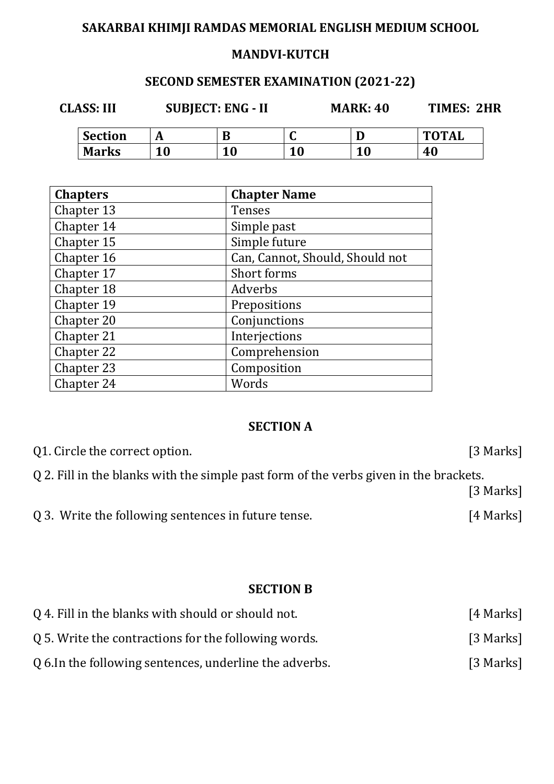#### **MANDVI-KUTCH**

# **SECOND SEMESTER EXAMINATION (2021-22)**

**CLASS: III SUBJECT: ENG - II MARK: 40 TIMES: 2HR** 

| <b>Section</b> |    |     | ື           |    | <b>TOTAL</b> |
|----------------|----|-----|-------------|----|--------------|
| <b>Marks</b>   | 10 | 1 O | 1 O<br>1. v | 10 | 40           |

| <b>Chapters</b> | <b>Chapter Name</b>             |
|-----------------|---------------------------------|
| Chapter 13      | <b>Tenses</b>                   |
| Chapter 14      | Simple past                     |
| Chapter 15      | Simple future                   |
| Chapter 16      | Can, Cannot, Should, Should not |
| Chapter 17      | Short forms                     |
| Chapter 18      | Adverbs                         |
| Chapter 19      | Prepositions                    |
| Chapter 20      | Conjunctions                    |
| Chapter 21      | Interjections                   |
| Chapter 22      | Comprehension                   |
| Chapter 23      | Composition                     |
| Chapter 24      | Words                           |

## **SECTION A**

| Q1. Circle the correct option.                                                        | [3 Marks] |
|---------------------------------------------------------------------------------------|-----------|
| Q 2. Fill in the blanks with the simple past form of the verbs given in the brackets. |           |
|                                                                                       | [3 Marks] |
| Q 3. Write the following sentences in future tense.                                   | [4 Marks] |

## **SECTION B**

| Q 4. Fill in the blanks with should or should not.      | [4 Marks] |
|---------------------------------------------------------|-----------|
| Q 5. Write the contractions for the following words.    | [3 Marks] |
| Q 6. In the following sentences, underline the adverbs. | [3 Marks] |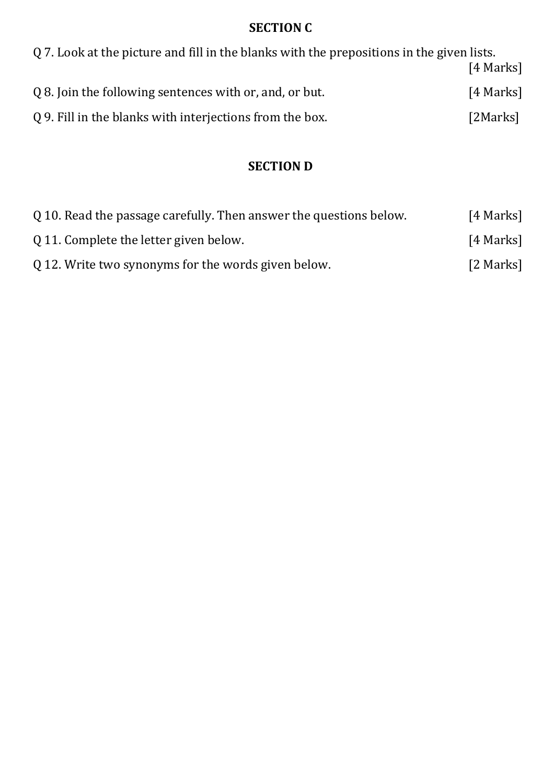#### **SECTION C**

| Q 7. Look at the picture and fill in the blanks with the prepositions in the given lists. |           |
|-------------------------------------------------------------------------------------------|-----------|
|                                                                                           | [4 Marks] |
| Q 8. Join the following sentences with or, and, or but.                                   | [4 Marks] |
| Q 9. Fill in the blanks with interjections from the box.                                  | [2Marks]  |

### **SECTION D**

| Q 10. Read the passage carefully. Then answer the questions below. | [4 Marks] |
|--------------------------------------------------------------------|-----------|
| Q 11. Complete the letter given below.                             | [4 Marks] |
| Q 12. Write two synonyms for the words given below.                | [2 Marks] |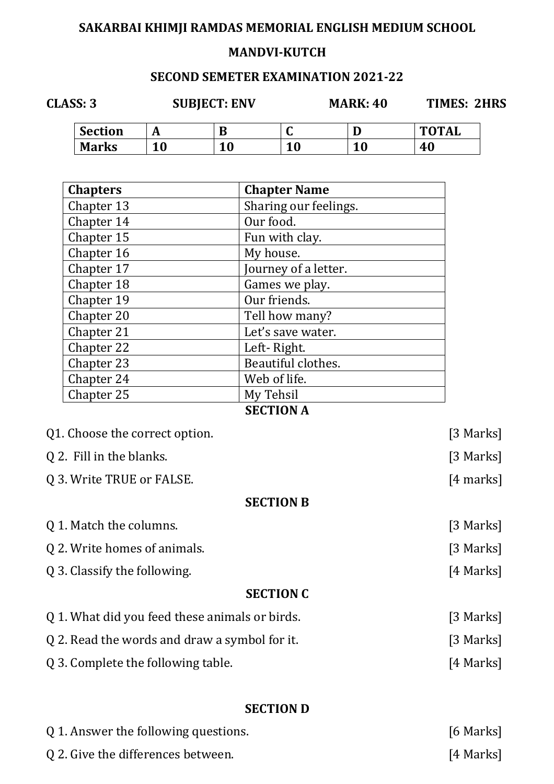### **MANDVI-KUTCH**

#### **SECOND SEMETER EXAMINATION 2021-22**

**CLASS: 3 SUBJECT: ENV MARK: 40 TIMES: 2HRS** 

| <b>Section</b> | . .                                 | ш.        | ∼               | ∽<br>◡    | <b>TOTAL</b> |
|----------------|-------------------------------------|-----------|-----------------|-----------|--------------|
| <b>Marks</b>   | $\overline{A}$ $\overline{D}$<br>LV | <b>10</b> | ∣∩<br>. .<br>πu | 1 O<br>TU | ∩<br>40      |

| <b>Chapters</b> | <b>Chapter Name</b>   |
|-----------------|-----------------------|
| Chapter 13      | Sharing our feelings. |
| Chapter 14      | Our food.             |
| Chapter 15      | Fun with clay.        |
| Chapter 16      | My house.             |
| Chapter 17      | Journey of a letter.  |
| Chapter 18      | Games we play.        |
| Chapter 19      | Our friends.          |
| Chapter 20      | Tell how many?        |
| Chapter 21      | Let's save water.     |
| Chapter 22      | Left-Right.           |
| Chapter 23      | Beautiful clothes.    |
| Chapter 24      | Web of life.          |
| Chapter 25      | My Tehsil             |
|                 | CECTION A             |

#### **SECTION A**

| Q1. Choose the correct option.                 | [3 Marks]   |
|------------------------------------------------|-------------|
| Q 2. Fill in the blanks.                       | [3 Marks]   |
| Q 3. Write TRUE or FALSE.                      | $[4$ marks] |
| <b>SECTION B</b>                               |             |
| Q 1. Match the columns.                        | [3 Marks]   |
| Q 2. Write homes of animals.                   | [3 Marks]   |
| Q 3. Classify the following.                   | [4 Marks]   |
| <b>SECTION C</b>                               |             |
| Q 1. What did you feed these animals or birds. | [3 Marks]   |
| Q 2. Read the words and draw a symbol for it.  | [3 Marks]   |
| Q 3. Complete the following table.             | [4 Marks]   |
|                                                |             |
|                                                |             |

### **SECTION D**

| Q 1. Answer the following questions. | [6 Marks] |
|--------------------------------------|-----------|
| Q 2. Give the differences between.   | [4 Marks] |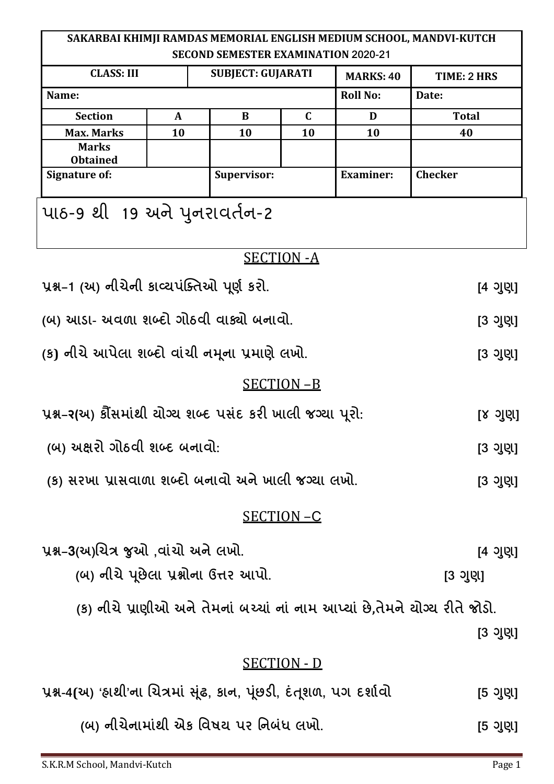| SAKARBAI KHIMJI RAMDAS MEMORIAL ENGLISH MEDIUM SCHOOL, MANDVI-KUTCH<br><b>SECOND SEMESTER EXAMINATION 2020-21</b> |              |                          |                    |                  |                                                                             |
|-------------------------------------------------------------------------------------------------------------------|--------------|--------------------------|--------------------|------------------|-----------------------------------------------------------------------------|
| <b>CLASS: III</b>                                                                                                 |              | <b>SUBJECT: GUJARATI</b> |                    | <b>MARKS: 40</b> | TIME: 2 HRS                                                                 |
| Name:                                                                                                             |              |                          |                    | <b>Roll No:</b>  | Date:                                                                       |
| <b>Section</b>                                                                                                    | $\mathbf{A}$ | B                        | $\mathbf C$        | D                | <b>Total</b>                                                                |
| <b>Max. Marks</b>                                                                                                 | 10           | 10                       | 10                 | 10               | 40                                                                          |
| <b>Marks</b><br><b>Obtained</b>                                                                                   |              |                          |                    |                  |                                                                             |
| <b>Signature of:</b>                                                                                              |              | Supervisor:              |                    | <b>Examiner:</b> | <b>Checker</b>                                                              |
| પાઠ-9 થી 19 અને પુનરાવર્તન-2                                                                                      |              |                          |                    |                  |                                                                             |
|                                                                                                                   |              |                          | <b>SECTION - A</b> |                  |                                                                             |
| પ્રશ્ન-1 (અ) નીચેની કાવ્યપંક્તિઓ પૂર્ણ કરો.                                                                       |              |                          | [4 ગુણ]            |                  |                                                                             |
| (બ) આડા- અવળા શબ્દો ગોઠવી વાક્યો બનાવો.                                                                           |              |                          | [3 ગુણ]            |                  |                                                                             |
| (ક) નીચે આપેલા શબ્દો વાંચી નમૂના પ્રમાણે લખો.                                                                     |              |                          | [3 ગુણ]            |                  |                                                                             |
|                                                                                                                   |              |                          | <b>SECTION-B</b>   |                  |                                                                             |
| પ્રશ્ન-ર(અ) કૌંસમાંથી ચોગ્ય શબ્દ પસંદ કરી ખાલી જગ્યા પૂરો:                                                        |              |                          |                    |                  | [૪ ગુણ]                                                                     |
| (બ) અક્ષરો ગોઠવી શબ્દ બનાવો:                                                                                      |              |                          | [3 ગુણ]            |                  |                                                                             |
| (ક) સરખા પ્રાસવાળા શબ્દો બનાવો અને ખાલી જગ્યા લખો.                                                                |              |                          | [3 ગુણ]            |                  |                                                                             |
| SECTION-C                                                                                                         |              |                          |                    |                  |                                                                             |
| પ્રશ્ન-3(અ)ચિત્ર જુઓ ,વાંચો અને લખો.                                                                              |              |                          |                    |                  | [4 ગુણ]                                                                     |
| (બ) નીચે પૂછેલા પ્રશ્નોના ઉત્તર આપો.                                                                              |              |                          |                    |                  | [3 ગુણ]                                                                     |
|                                                                                                                   |              |                          |                    |                  | (ક) નીચે પ્રાણીઓ અને તેમનાં બચ્ચાં નાં નામ આપ્યાં છે,તેમને યોગ્ય રીતે જોડો. |
|                                                                                                                   |              |                          |                    |                  | [3 ગુણ]                                                                     |
|                                                                                                                   |              |                          | <b>SECTION - D</b> |                  |                                                                             |
| પ્રશ્ન-4(અ) 'હાથી'ના ચિત્રમાં સૂંઢ, કાન, પૂંછડી, દંતૂશળ, પગ દર્શાવો                                               |              |                          |                    |                  | [5 ગુણ]                                                                     |

 **(#)  26 Mк N'O N #P 0х. [L ] !**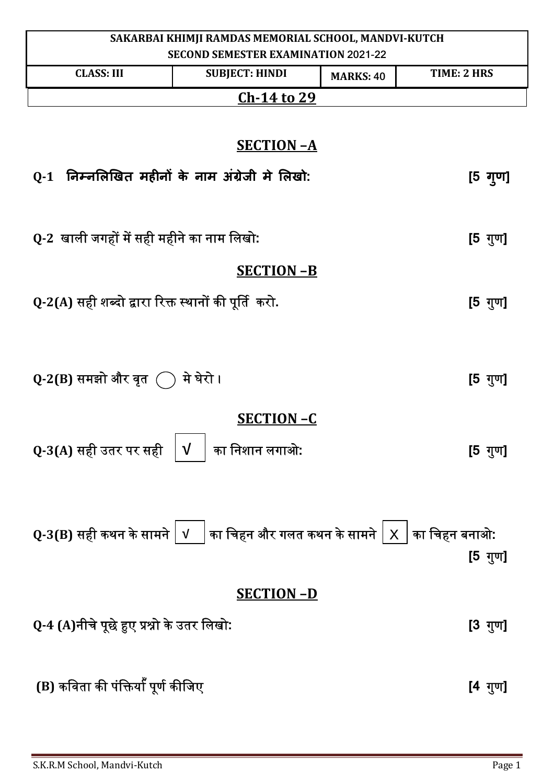| SAKARBAI KHIMJI RAMDAS MEMORIAL SCHOOL, MANDVI-KUTCH                                                    |                                                                                                                                                                                                        |                  |                   |
|---------------------------------------------------------------------------------------------------------|--------------------------------------------------------------------------------------------------------------------------------------------------------------------------------------------------------|------------------|-------------------|
| <b>SECOND SEMESTER EXAMINATION 2021-22</b><br>TIME: 2 HRS<br><b>CLASS: III</b><br><b>SUBJECT: HINDI</b> |                                                                                                                                                                                                        |                  |                   |
|                                                                                                         | <u>Ch-14 to 29</u>                                                                                                                                                                                     | <b>MARKS: 40</b> |                   |
|                                                                                                         |                                                                                                                                                                                                        |                  |                   |
|                                                                                                         | <b>SECTION-A</b>                                                                                                                                                                                       |                  |                   |
| Q-1 निम्नलिखित महीनों के नाम अंग्रेजी मे लिखो:                                                          |                                                                                                                                                                                                        |                  | $[5 \frac{1}{2}]$ |
| Q-2 खाली जगहों में सही महीने का नाम लिखो:                                                               |                                                                                                                                                                                                        |                  | $[5 \t{y}$ ण]     |
|                                                                                                         | <b>SECTION-B</b>                                                                                                                                                                                       |                  |                   |
|                                                                                                         |                                                                                                                                                                                                        |                  |                   |
| Q-2(A) सही शब्दो द्वारा रिक्त स्थानों की पूर्ति  करो.                                                   |                                                                                                                                                                                                        |                  | [5 गुण]           |
|                                                                                                         |                                                                                                                                                                                                        |                  |                   |
|                                                                                                         |                                                                                                                                                                                                        |                  |                   |
| Q-2(B) समझो और वृत $\bigcirc$                                                                           | मे घेरो ।                                                                                                                                                                                              |                  | [5 गुण]           |
|                                                                                                         | <b>SECTION-C</b>                                                                                                                                                                                       |                  |                   |
|                                                                                                         |                                                                                                                                                                                                        |                  |                   |
| Q-3(A) सही उतर पर सही                                                                                   | $\sqrt{ }$<br>का निशान लगाओ:                                                                                                                                                                           |                  | [5 गुण]           |
|                                                                                                         |                                                                                                                                                                                                        |                  |                   |
|                                                                                                         |                                                                                                                                                                                                        |                  |                   |
|                                                                                                         | $\left\vert \mathbf{Q}\text{-3(B)}\right\vert$ सही कथन के सामने $\left\vert \mathbf{v}\right\vert \left\vert$ का चिहन और गलत कथन के सामने $\left\vert \mathbf{x}\right\vert \right\vert$ का चिहन बनाओ: |                  |                   |
|                                                                                                         |                                                                                                                                                                                                        |                  | [5 गुण <u>]</u>   |
|                                                                                                         |                                                                                                                                                                                                        |                  |                   |
|                                                                                                         | <b>SECTION-D</b>                                                                                                                                                                                       |                  |                   |
| Q-4 (A)नीचे पूछे हुए प्रश्नो के उतर लिखो:                                                               |                                                                                                                                                                                                        |                  | [3 गुण]           |
|                                                                                                         |                                                                                                                                                                                                        |                  |                   |
| (B) कविता की पंक्तियाँ पूर्ण कीजिए                                                                      |                                                                                                                                                                                                        |                  | [4 गुण]           |
|                                                                                                         |                                                                                                                                                                                                        |                  |                   |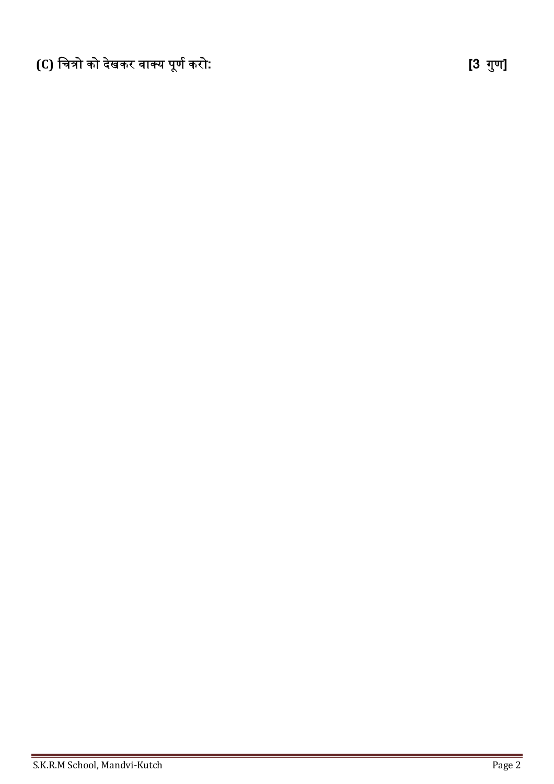**(C)** िचᮢो को दखे कर वाय पणू ᭅकरो**: [3** गणु **]**